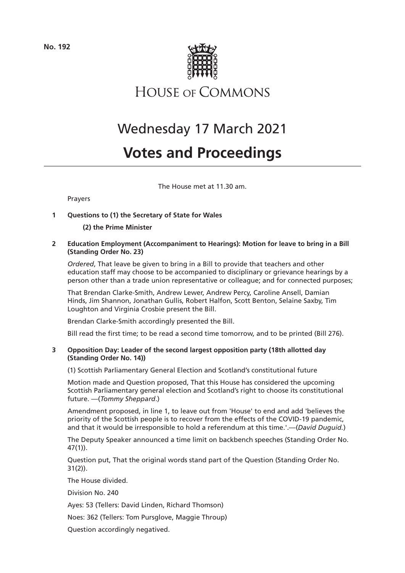

**HOUSE OF COMMONS** 

# Wednesday 17 March 2021

# **Votes and Proceedings**

The House met at 11.30 am.

# Prayers

# **1 Questions to (1) the Secretary of State for Wales**

**(2) the Prime Minister**

**2 Education Employment (Accompaniment to Hearings): Motion for leave to bring in a Bill (Standing Order No. 23)**

*Ordered*, That leave be given to bring in a Bill to provide that teachers and other education staff may choose to be accompanied to disciplinary or grievance hearings by a person other than a trade union representative or colleague; and for connected purposes;

That Brendan Clarke-Smith, Andrew Lewer, Andrew Percy, Caroline Ansell, Damian Hinds, Jim Shannon, Jonathan Gullis, Robert Halfon, Scott Benton, Selaine Saxby, Tim Loughton and Virginia Crosbie present the Bill.

Brendan Clarke-Smith accordingly presented the Bill.

Bill read the first time; to be read a second time tomorrow, and to be printed (Bill 276).

# **3 Opposition Day: Leader of the second largest opposition party (18th allotted day (Standing Order No. 14))**

(1) Scottish Parliamentary General Election and Scotland's constitutional future

Motion made and Question proposed, That this House has considered the upcoming Scottish Parliamentary general election and Scotland's right to choose its constitutional future. —(*Tommy Sheppard*.)

Amendment proposed, in line 1, to leave out from 'House' to end and add 'believes the priority of the Scottish people is to recover from the effects of the COVID-19 pandemic, and that it would be irresponsible to hold a referendum at this time.'.—(*David Duguid.*)

The Deputy Speaker announced a time limit on backbench speeches (Standing Order No. 47(1)).

Question put, That the original words stand part of the Question (Standing Order No. 31(2)).

The House divided.

Division No. 240

Ayes: 53 (Tellers: David Linden, Richard Thomson)

Noes: 362 (Tellers: Tom Pursglove, Maggie Throup)

Question accordingly negatived.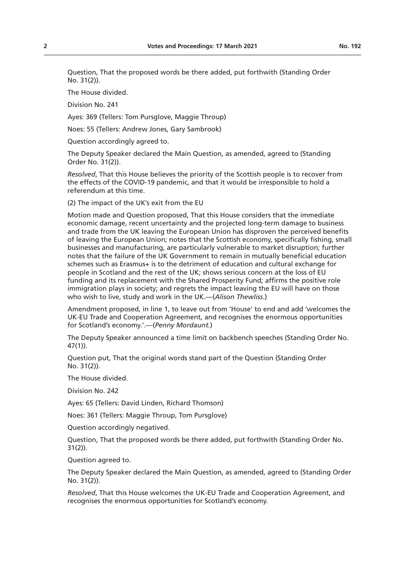Question, That the proposed words be there added, put forthwith (Standing Order No. 31(2)).

The House divided.

Division No. 241

Ayes: 369 (Tellers: Tom Pursglove, Maggie Throup)

Noes: 55 (Tellers: Andrew Jones, Gary Sambrook)

Question accordingly agreed to.

The Deputy Speaker declared the Main Question, as amended, agreed to (Standing Order No. 31(2)).

*Resolved*, That this House believes the priority of the Scottish people is to recover from the effects of the COVID-19 pandemic, and that it would be irresponsible to hold a referendum at this time.

(2) The impact of the UK's exit from the EU

Motion made and Question proposed, That this House considers that the immediate economic damage, recent uncertainty and the projected long-term damage to business and trade from the UK leaving the European Union has disproven the perceived benefits of leaving the European Union; notes that the Scottish economy, specifically fishing, small businesses and manufacturing, are particularly vulnerable to market disruption; further notes that the failure of the UK Government to remain in mutually beneficial education schemes such as Erasmus+ is to the detriment of education and cultural exchange for people in Scotland and the rest of the UK; shows serious concern at the loss of EU funding and its replacement with the Shared Prosperity Fund; affirms the positive role immigration plays in society; and regrets the impact leaving the EU will have on those who wish to live, study and work in the UK.—(*Alison Thewliss*.)

Amendment proposed, in line 1, to leave out from 'House' to end and add 'welcomes the UK-EU Trade and Cooperation Agreement, and recognises the enormous opportunities for Scotland's economy.'.—(*Penny Mordaunt.*)

The Deputy Speaker announced a time limit on backbench speeches (Standing Order No. 47(1)).

Question put, That the original words stand part of the Question (Standing Order No. 31(2)).

The House divided.

Division No. 242

Ayes: 65 (Tellers: David Linden, Richard Thomson)

Noes: 361 (Tellers: Maggie Throup, Tom Pursglove)

Question accordingly negatived.

Question, That the proposed words be there added, put forthwith (Standing Order No. 31(2)).

Question agreed to.

The Deputy Speaker declared the Main Question, as amended, agreed to (Standing Order No. 31(2)).

*Resolved*, That this House welcomes the UK-EU Trade and Cooperation Agreement, and recognises the enormous opportunities for Scotland's economy.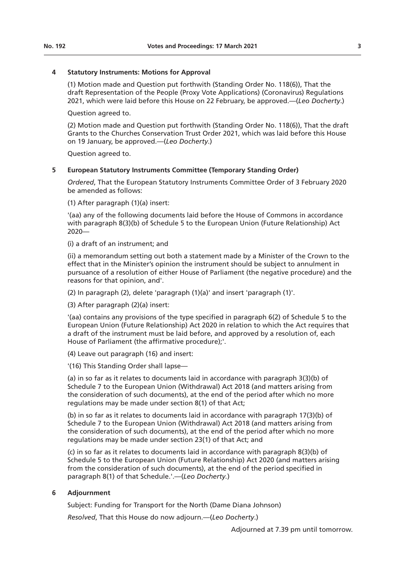# **4 Statutory Instruments: Motions for Approval**

(1) Motion made and Question put forthwith (Standing Order No. 118(6)), That the draft Representation of the People (Proxy Vote Applications) (Coronavirus) Regulations 2021, which were laid before this House on 22 February, be approved.—(*Leo Docherty*.)

Question agreed to.

(2) Motion made and Question put forthwith (Standing Order No. 118(6)), That the draft Grants to the Churches Conservation Trust Order 2021, which was laid before this House on 19 January, be approved.—(*Leo Docherty*.)

Question agreed to.

# **5 European Statutory Instruments Committee (Temporary Standing Order)**

*Ordered*, That the European Statutory Instruments Committee Order of 3 February 2020 be amended as follows:

(1) After paragraph (1)(a) insert:

'(aa) any of the following documents laid before the House of Commons in accordance with paragraph 8(3)(b) of Schedule 5 to the European Union (Future Relationship) Act 2020—

(i) a draft of an instrument; and

(ii) a memorandum setting out both a statement made by a Minister of the Crown to the effect that in the Minister's opinion the instrument should be subject to annulment in pursuance of a resolution of either House of Parliament (the negative procedure) and the reasons for that opinion, and'.

(2) In paragraph (2), delete 'paragraph (1)(a)' and insert 'paragraph (1)'.

(3) After paragraph (2)(a) insert:

'(aa) contains any provisions of the type specified in paragraph 6(2) of Schedule 5 to the European Union (Future Relationship) Act 2020 in relation to which the Act requires that a draft of the instrument must be laid before, and approved by a resolution of, each House of Parliament (the affirmative procedure);'.

(4) Leave out paragraph (16) and insert:

'(16) This Standing Order shall lapse—

(a) in so far as it relates to documents laid in accordance with paragraph 3(3)(b) of Schedule 7 to the European Union (Withdrawal) Act 2018 (and matters arising from the consideration of such documents), at the end of the period after which no more regulations may be made under section 8(1) of that Act;

(b) in so far as it relates to documents laid in accordance with paragraph 17(3)(b) of Schedule 7 to the European Union (Withdrawal) Act 2018 (and matters arising from the consideration of such documents), at the end of the period after which no more regulations may be made under section 23(1) of that Act; and

(c) in so far as it relates to documents laid in accordance with paragraph 8(3)(b) of Schedule 5 to the European Union (Future Relationship) Act 2020 (and matters arising from the consideration of such documents), at the end of the period specified in paragraph 8(1) of that Schedule.'.—(*Leo Docherty.*)

#### **6 Adjournment**

Subject: Funding for Transport for the North (Dame Diana Johnson)

*Resolved*, That this House do now adjourn.—(*Leo Docherty*.)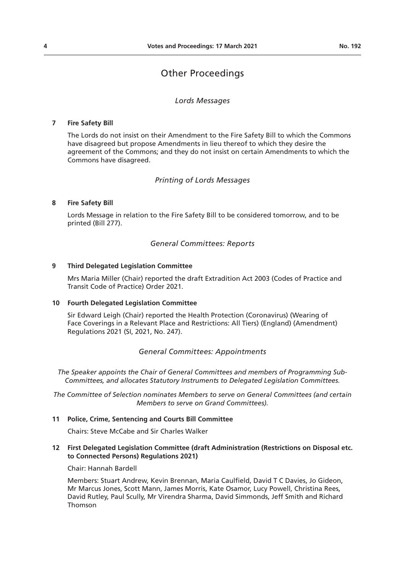# Other Proceedings

#### *Lords Messages*

#### **7 Fire Safety Bill**

The Lords do not insist on their Amendment to the Fire Safety Bill to which the Commons have disagreed but propose Amendments in lieu thereof to which they desire the agreement of the Commons; and they do not insist on certain Amendments to which the Commons have disagreed.

# *Printing of Lords Messages*

#### **8 Fire Safety Bill**

Lords Message in relation to the Fire Safety Bill to be considered tomorrow, and to be printed (Bill 277).

#### *General Committees: Reports*

#### **9 Third Delegated Legislation Committee**

Mrs Maria Miller (Chair) reported the draft Extradition Act 2003 (Codes of Practice and Transit Code of Practice) Order 2021.

#### **10 Fourth Delegated Legislation Committee**

Sir Edward Leigh (Chair) reported the Health Protection (Coronavirus) (Wearing of Face Coverings in a Relevant Place and Restrictions: All Tiers) (England) (Amendment) Regulations 2021 (SI, 2021, No. 247).

# *General Committees: Appointments*

*The Speaker appoints the Chair of General Committees and members of Programming Sub-Committees, and allocates Statutory Instruments to Delegated Legislation Committees.*

*The Committee of Selection nominates Members to serve on General Committees (and certain Members to serve on Grand Committees).*

# **11 Police, Crime, Sentencing and Courts Bill Committee**

Chairs: Steve McCabe and Sir Charles Walker

#### **12 First Delegated Legislation Committee (draft Administration (Restrictions on Disposal etc. to Connected Persons) Regulations 2021)**

Chair: Hannah Bardell

Members: Stuart Andrew, Kevin Brennan, Maria Caulfield, David T C Davies, Jo Gideon, Mr Marcus Jones, Scott Mann, James Morris, Kate Osamor, Lucy Powell, Christina Rees, David Rutley, Paul Scully, Mr Virendra Sharma, David Simmonds, Jeff Smith and Richard Thomson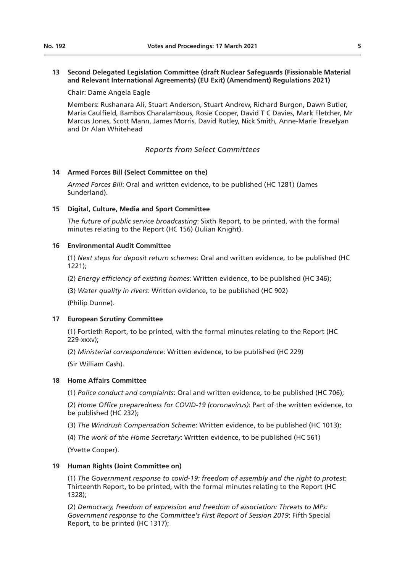# **13 Second Delegated Legislation Committee (draft Nuclear Safeguards (Fissionable Material and Relevant International Agreements) (EU Exit) (Amendment) Regulations 2021)**

Chair: Dame Angela Eagle

Members: Rushanara Ali, Stuart Anderson, Stuart Andrew, Richard Burgon, Dawn Butler, Maria Caulfield, Bambos Charalambous, Rosie Cooper, David T C Davies, Mark Fletcher, Mr Marcus Jones, Scott Mann, James Morris, David Rutley, Nick Smith, Anne-Marie Trevelyan and Dr Alan Whitehead

# *Reports from Select Committees*

#### **14 Armed Forces Bill (Select Committee on the)**

*Armed Forces Bill*: Oral and written evidence, to be published (HC 1281) (James Sunderland).

#### **15 Digital, Culture, Media and Sport Committee**

*The future of public service broadcasting*: Sixth Report, to be printed, with the formal minutes relating to the Report (HC 156) (Julian Knight).

#### **16 Environmental Audit Committee**

(1) *Next steps for deposit return schemes*: Oral and written evidence, to be published (HC 1221);

(2) *Energy efficiency of existing homes*: Written evidence, to be published (HC 346);

(3) *Water quality in rivers*: Written evidence, to be published (HC 902)

(Philip Dunne).

# **17 European Scrutiny Committee**

(1) Fortieth Report, to be printed, with the formal minutes relating to the Report (HC 229-xxxv);

(2) *Ministerial correspondence*: Written evidence, to be published (HC 229)

(Sir William Cash).

#### **18 Home Affairs Committee**

(1) *Police conduct and complaints*: Oral and written evidence, to be published (HC 706);

(2) *Home Office preparedness for COVID-19 (coronavirus)*: Part of the written evidence, to be published (HC 232);

(3) *The Windrush Compensation Scheme*: Written evidence, to be published (HC 1013);

(4) *The work of the Home Secretary*: Written evidence, to be published (HC 561)

(Yvette Cooper).

#### **19 Human Rights (Joint Committee on)**

(1) *The Government response to covid-19: freedom of assembly and the right to protest*: Thirteenth Report, to be printed, with the formal minutes relating to the Report (HC 1328);

(2) *Democracy, freedom of expression and freedom of association: Threats to MPs: Government response to the Committee's First Report of Session 2019*: Fifth Special Report, to be printed (HC 1317);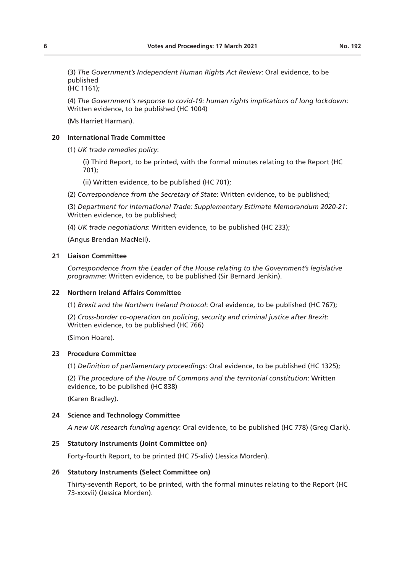(3) *The Government's Independent Human Rights Act Review*: Oral evidence, to be published

(HC 1161);

(4) *The Government's response to covid-19: human rights implications of long lockdown*: Written evidence, to be published (HC 1004)

(Ms Harriet Harman).

# **20 International Trade Committee**

(1) *UK trade remedies policy*:

(i) Third Report, to be printed, with the formal minutes relating to the Report (HC 701);

(ii) Written evidence, to be published (HC 701);

(2) *Correspondence from the Secretary of State*: Written evidence, to be published;

(3) *Department for International Trade: Supplementary Estimate Memorandum 2020-21*: Written evidence, to be published;

(4) *UK trade negotiations*: Written evidence, to be published (HC 233);

(Angus Brendan MacNeil).

#### **21 Liaison Committee**

*Correspondence from the Leader of the House relating to the Government's legislative programme*: Written evidence, to be published (Sir Bernard Jenkin).

#### **22 Northern Ireland Affairs Committee**

(1) *Brexit and the Northern Ireland Protocol*: Oral evidence, to be published (HC 767);

(2) *Cross-border co-operation on policing, security and criminal justice after Brexit*: Written evidence, to be published (HC 766)

(Simon Hoare).

# **23 Procedure Committee**

(1) *Definition of parliamentary proceedings*: Oral evidence, to be published (HC 1325);

(2) *The procedure of the House of Commons and the territorial constitution*: Written evidence, to be published (HC 838)

(Karen Bradley).

#### **24 Science and Technology Committee**

*A new UK research funding agency*: Oral evidence, to be published (HC 778) (Greg Clark).

#### **25 Statutory Instruments (Joint Committee on)**

Forty-fourth Report, to be printed (HC 75-xliv) (Jessica Morden).

#### **26 Statutory Instruments (Select Committee on)**

Thirty-seventh Report, to be printed, with the formal minutes relating to the Report (HC 73-xxxvii) (Jessica Morden).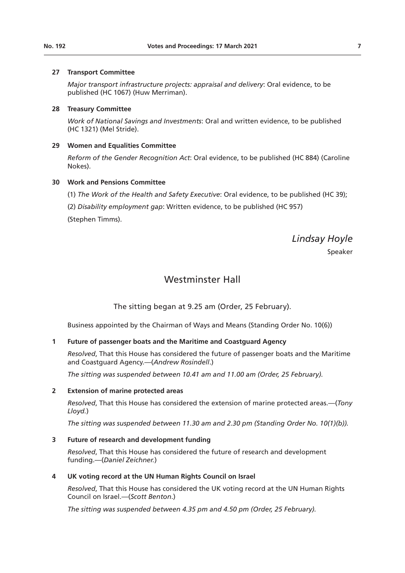#### **27 Transport Committee**

*Major transport infrastructure projects: appraisal and delivery*: Oral evidence, to be published (HC 1067) (Huw Merriman).

#### **28 Treasury Committee**

*Work of National Savings and Investments*: Oral and written evidence, to be published (HC 1321) (Mel Stride).

# **29 Women and Equalities Committee**

*Reform of the Gender Recognition Act*: Oral evidence, to be published (HC 884) (Caroline Nokes).

# **30 Work and Pensions Committee**

- (1) *The Work of the Health and Safety Executive*: Oral evidence, to be published (HC 39);
- (2) *Disability employment gap*: Written evidence, to be published (HC 957)

(Stephen Timms).

*Lindsay Hoyle*

Speaker

# Westminster Hall

The sitting began at 9.25 am (Order, 25 February).

Business appointed by the Chairman of Ways and Means (Standing Order No. 10(6))

### **1 Future of passenger boats and the Maritime and Coastguard Agency**

*Resolved*, That this House has considered the future of passenger boats and the Maritime and Coastguard Agency.—(*Andrew Rosindell*.)

*The sitting was suspended between 10.41 am and 11.00 am (Order, 25 February).* 

#### **2 Extension of marine protected areas**

*Resolved*, That this House has considered the extension of marine protected areas.—(*Tony Lloyd.*)

*The sitting was suspended between 11.30 am and 2.30 pm (Standing Order No. 10(1)(b)).*

#### **3 Future of research and development funding**

*Resolved*, That this House has considered the future of research and development funding.—(*Daniel Zeichner.*)

#### **4 UK voting record at the UN Human Rights Council on Israel**

*Resolved*, That this House has considered the UK voting record at the UN Human Rights Council on Israel.—(*Scott Benton*.)

*The sitting was suspended between 4.35 pm and 4.50 pm (Order, 25 February).*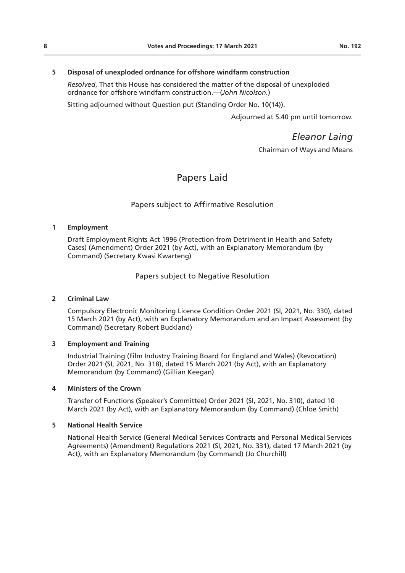# **5 Disposal of unexploded ordnance for offshore windfarm construction**

*Resolved*, That this House has considered the matter of the disposal of unexploded ordnance for offshore windfarm construction.—(*John Nicolson.*)

Sitting adjourned without Question put (Standing Order No. 10(14)).

Adjourned at 5.40 pm until tomorrow.

*Eleanor Laing*

Chairman of Ways and Means

# Papers Laid

# Papers subject to Affirmative Resolution

#### **1 Employment**

Draft Employment Rights Act 1996 (Protection from Detriment in Health and Safety Cases) (Amendment) Order 2021 (by Act), with an Explanatory Memorandum (by Command) (Secretary Kwasi Kwarteng)

Papers subject to Negative Resolution

#### **2 Criminal Law**

Compulsory Electronic Monitoring Licence Condition Order 2021 (SI, 2021, No. 330), dated 15 March 2021 (by Act), with an Explanatory Memorandum and an Impact Assessment (by Command) (Secretary Robert Buckland)

#### **3 Employment and Training**

Industrial Training (Film Industry Training Board for England and Wales) (Revocation) Order 2021 (SI, 2021, No. 318), dated 15 March 2021 (by Act), with an Explanatory Memorandum (by Command) (Gillian Keegan)

#### **4 Ministers of the Crown**

Transfer of Functions (Speaker's Committee) Order 2021 (SI, 2021, No. 310), dated 10 March 2021 (by Act), with an Explanatory Memorandum (by Command) (Chloe Smith)

#### **5 National Health Service**

National Health Service (General Medical Services Contracts and Personal Medical Services Agreements) (Amendment) Regulations 2021 (SI, 2021, No. 331), dated 17 March 2021 (by Act), with an Explanatory Memorandum (by Command) (Jo Churchill)